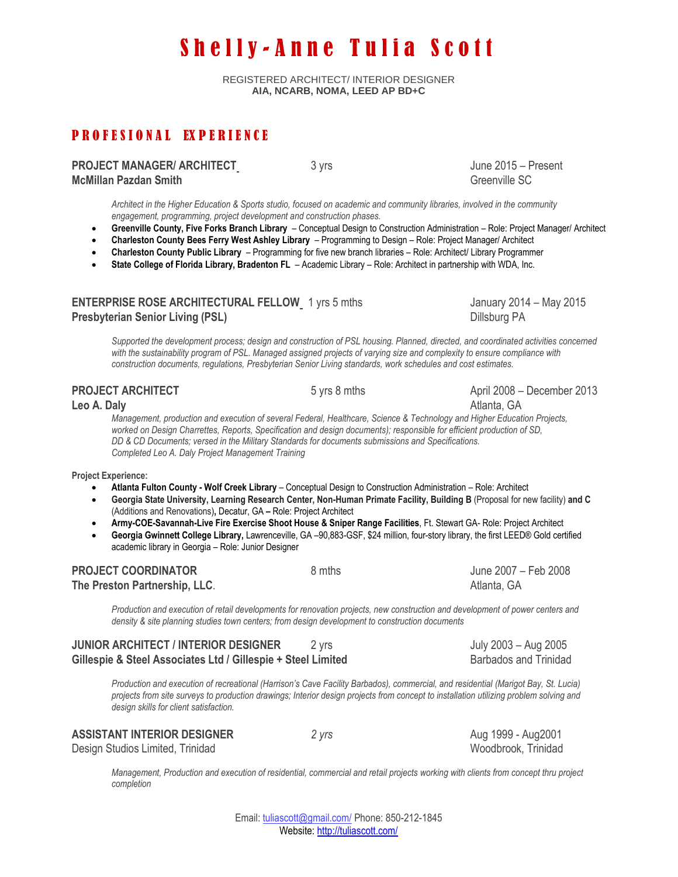# Shelly-Anne Tulia Scott

REGISTERED ARCHITECT/ INTERIOR DESIGNER **AIA, NCARB, NOMA, LEED AP BD+C**

## P R O F E S I O N A L EX P E R I E N C E

| <b>PROJECT MANAGER/ ARCHITECT</b> |  |
|-----------------------------------|--|
| <b>McMillan Pazdan Smith</b>      |  |

**PROJECT MANAGER/ ARCHITEC[T](https://www.linkedin.com/vsearch/p?title=Project+Manager+%26+Sustainability+Chair&trk=prof-exp-title)** 3 yrs June 2015 – Present Greenville SC

*Architect in the Higher Education & Sports studio, focused on academic and community libraries, involved in the community engagement, programming, project development and construction phases.*

- **Greenville County, Five Forks Branch Library**  Conceptual Design to Construction Administration Role: Project Manager/ Architect
- **Charleston County Bees Ferry West Ashley Library**  Programming to Design Role: Project Manager/ Architect
- **Charleston County Public Library**  Programming for five new branch libraries Role: Architect/ Library Programmer
- **State College of Florida Library, Bradenton FL** Academic Library Role: Architect in partnership with WDA, Inc.

#### **ENTERPRISE ROSE ARCHITECTURAL FELLO[W](https://www.linkedin.com/vsearch/p?title=Project+Manager+%26+Sustainability+Chair&trk=prof-exp-title)** 1 yrs 5 mths January 2014 – May 2015 **Presbyterian Senior Living (PSL) Dillsburg PA Dillsburg PA**

Supported the development process; design and construction of PSL housing. Planned, directed, and coordinated activities concerned *with the sustainability program of PSL. Managed assigned projects of varying size and complexity to ensure compliance with construction documents, regulations, Presbyterian Senior Living standards, work schedules and cost estimates.*

| <b>PROJECT ARCHITECT</b>                                                                                                                                                      | 5 yrs 8 mths                                                                                                                                                                                                                                                                                                                                            | April 2008 - December 2013                                                                                                                                                                                                                                                   |
|-------------------------------------------------------------------------------------------------------------------------------------------------------------------------------|---------------------------------------------------------------------------------------------------------------------------------------------------------------------------------------------------------------------------------------------------------------------------------------------------------------------------------------------------------|------------------------------------------------------------------------------------------------------------------------------------------------------------------------------------------------------------------------------------------------------------------------------|
| Leo A. Daly                                                                                                                                                                   |                                                                                                                                                                                                                                                                                                                                                         | Atlanta, GA                                                                                                                                                                                                                                                                  |
| Completed Leo A. Daly Project Management Training                                                                                                                             | Management, production and execution of several Federal, Healthcare, Science & Technology and Higher Education Projects,<br>worked on Design Charrettes, Reports, Specification and design documents); responsible for efficient production of SD,<br>DD & CD Documents; versed in the Military Standards for documents submissions and Specifications. |                                                                                                                                                                                                                                                                              |
| <b>Project Experience:</b>                                                                                                                                                    |                                                                                                                                                                                                                                                                                                                                                         |                                                                                                                                                                                                                                                                              |
| $\bullet$<br>$\bullet$<br>(Additions and Renovations), Decatur, GA - Role: Project Architect<br>$\bullet$<br>$\bullet$<br>academic library in Georgia - Role: Junior Designer | Atlanta Fulton County - Wolf Creek Library - Conceptual Design to Construction Administration - Role: Architect<br>Army-COE-Savannah-Live Fire Exercise Shoot House & Sniper Range Facilities, Ft. Stewart GA- Role: Project Architect                                                                                                                  | Georgia State University, Learning Research Center, Non-Human Primate Facility, Building B (Proposal for new facility) and C<br>Georgia Gwinnett College Library, Lawrenceville, GA -90,883-GSF, \$24 million, four-story library, the first LEED® Gold certified            |
| <b>PROJECT COORDINATOR</b>                                                                                                                                                    | 8 mths                                                                                                                                                                                                                                                                                                                                                  | June 2007 - Feb 2008                                                                                                                                                                                                                                                         |
| The Preston Partnership, LLC.                                                                                                                                                 |                                                                                                                                                                                                                                                                                                                                                         | Atlanta, GA                                                                                                                                                                                                                                                                  |
|                                                                                                                                                                               | density & site planning studies town centers; from design development to construction documents                                                                                                                                                                                                                                                         | Production and execution of retail developments for renovation projects, new construction and development of power centers and                                                                                                                                               |
| <b>JUNIOR ARCHITECT / INTERIOR DESIGNER</b>                                                                                                                                   | 2 yrs                                                                                                                                                                                                                                                                                                                                                   | July 2003 - Aug 2005                                                                                                                                                                                                                                                         |
| Gillespie & Steel Associates Ltd / Gillespie + Steel Limited                                                                                                                  |                                                                                                                                                                                                                                                                                                                                                         | <b>Barbados and Trinidad</b>                                                                                                                                                                                                                                                 |
|                                                                                                                                                                               |                                                                                                                                                                                                                                                                                                                                                         | Production and execution of recreational (Harrison's Cave Facility Barbados), commercial, and residential (Marigot Bay, St. Lucia)<br>projects from site surveys to production drawings; Interior design projects from concept to installation utilizing problem solving and |

**ASSISTANT INTERIOR DESIGNER** *2 yrs* Aug 1999 - Aug2001

*design skills for client satisfaction.*

Design Studios Limited, Trinidad November 2012 and Studios Woodbrook, Trinidad

*Management, Production and execution of residential, commercial and retail projects working with clients from concept thru project completion*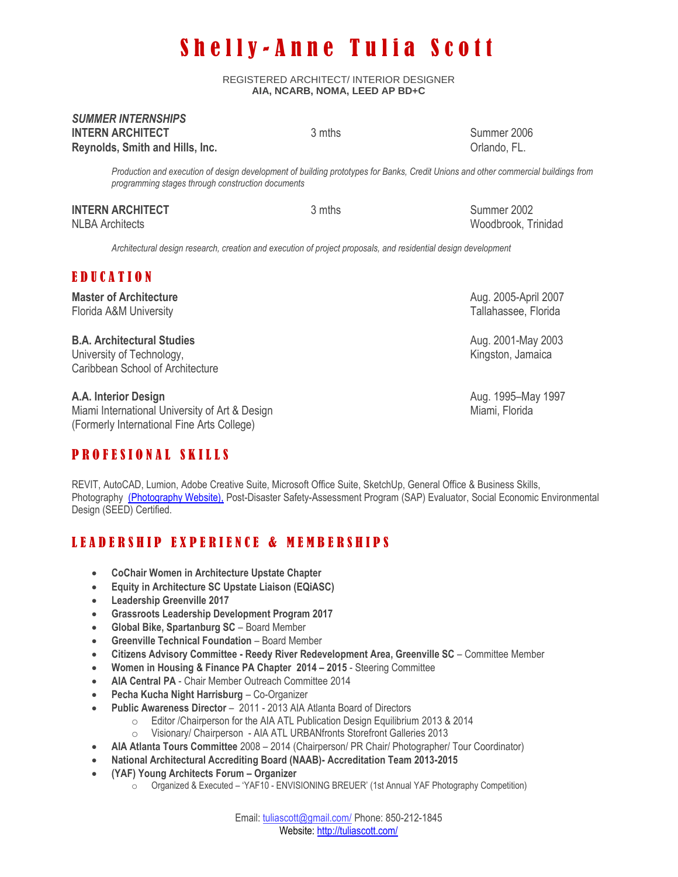# Shelly-Anne Tulia Scott

REGISTERED ARCHITECT/ INTERIOR DESIGNER **AIA, NCARB, NOMA, LEED AP BD+C**

#### *SUMMER INTERNSHIPS* **INTERN ARCHITECT** 3 mths 3 mths Summer 2006 **Reynolds, Smith and Hills, Inc. Community Community Community Community Community Community Community Community Community Community Community Community Community Community Community Community Community Community Communi**

*Production and execution of design development of building prototypes for Banks, Credit Unions and other commercial buildings from programming stages through construction documents*

#### **INTERN ARCHITECT** 3 mths 3 mths Summer 2002 NLBA ArchitectsWoodbrook, Trinidad

*Architectural design research, creation and execution of project proposals, and residential design development*

## E D U C A T I O N

## **Master of Architecture** Aug. 2005-April 2007

Florida A&M University Tallahassee, Florida A&M University

#### **B.A. Architectural Studies** Aug. 2001-May 2003

University of Technology, the control of the control of the control of the control of the control of the control of the control of the control of the control of the control of the control of the control of the control of t Caribbean School of Architecture

Miami International University of Art & Design Miami, Florida Miami, Florida (Formerly International Fine Arts College)

# P R O F E S I O N A L S K I L L S

**A.A. Interior Design** Aug. 1995–May 1997

REVIT, AutoCAD, Lumion, Adobe Creative Suite, Microsoft Office Suite, SketchUp, General Office & Business Skills, Photography [\(Photography Website\),](http://tuliascott.com/photography) Post-Disaster Safety-Assessment Program (SAP) Evaluator, Social Economic Environmental Design (SEED) Certified.

# LEADERSHIP EXPERIENCE & MEMBERSHIPS

- **CoChair Women in Architecture Upstate Chapter**
- **Equity in Architecture SC Upstate Liaison (EQiASC)**
- **Leadership Greenville 2017**
- **Grassroots Leadership Development Program 2017**
- **Global Bike, Spartanburg SC**  Board Member
- **Greenville Technical Foundation**  Board Member
- **Citizens Advisory Committee - Reedy River Redevelopment Area, Greenville SC**  Committee Member
- **Women in Housing & Finance PA Chapter 2014 – 2015**  Steering Committee
- **AIA Central PA** Chair Member Outreach Committee 2014
- **Pecha Kucha Night Harrisburg** Co-Organizer
- **Public Awareness Director** 2011 2013 AIA Atlanta Board of Directors
	- o Editor /Chairperson for the AIA ATL Publication Design Equilibrium 2013 & 2014
	- o Visionary/ Chairperson AIA ATL URBANfronts Storefront Galleries 2013
- **AIA Atlanta Tours Committee** 2008 2014 (Chairperson/ PR Chair/ Photographer/ Tour Coordinator)
- **National Architectural Accrediting Board (NAAB)- Accreditation Team 2013-2015**
- **(YAF) Young Architects Forum – Organizer** 
	- $\circ$  Organized & Executed 'YAF10 ENVISIONING BREUER' (1st Annual YAF Photography Competition)